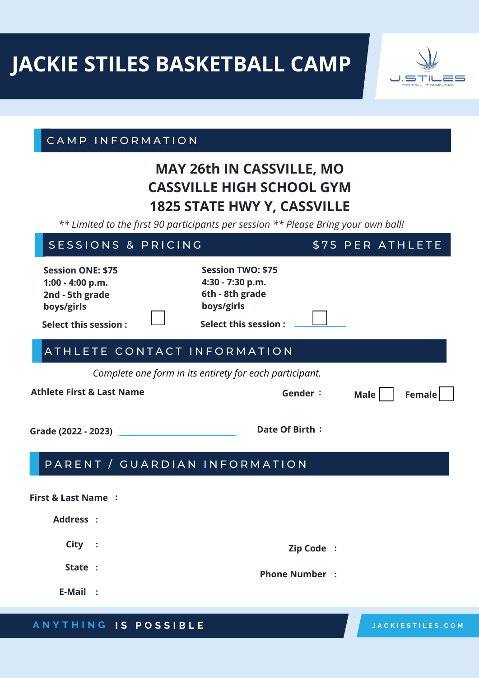# **JACKIE STILES BASKETBALL CAMP**



#### CAMP INFORMATION

# **MAY 26th IN CASSVILLE, MO CASSVILLE HIGH SCHOOL GYM 1825 STATE HWY Y, CASSVILLE**

*\*\* Limited to the first 90 participants per session \*\* Please Bring your own ball!*

## SESSIONS & PRICING 575 PER ATHLETE

| <b>Session ONE: \$75</b><br>$1:00 - 4:00 p.m.$<br>2nd - 5th grade<br>boys/girls<br><b>Select this session:</b> | <b>Session TWO: \$75</b><br>4:30 - 7:30 p.m.<br>6th - 8th grade<br>boys/girls<br>Select this session : |             |        |
|----------------------------------------------------------------------------------------------------------------|--------------------------------------------------------------------------------------------------------|-------------|--------|
| ATHLETE CONTACT INFORMATION                                                                                    |                                                                                                        |             |        |
|                                                                                                                | Complete one form in its entirety for each participant.                                                |             |        |
| <b>Athlete First &amp; Last Name</b>                                                                           | Gender:                                                                                                | <b>Male</b> | Female |
| Grade (2022 - 2023)                                                                                            | Date Of Birth:                                                                                         |             |        |
| PARENT / GUARDIAN INFORMATION                                                                                  |                                                                                                        |             |        |
| <b>First &amp; Last Name:</b>                                                                                  |                                                                                                        |             |        |
| Address :                                                                                                      |                                                                                                        |             |        |
| City :                                                                                                         | Zip Code :                                                                                             |             |        |
| State :                                                                                                        | <b>Phone Number</b> :                                                                                  |             |        |
| <b>E-Mail</b><br>$\blacksquare$                                                                                |                                                                                                        |             |        |

#### **A N Y T H I N G I S P O S S I B L E**

**J A C K I E S T I L E S . C O M**